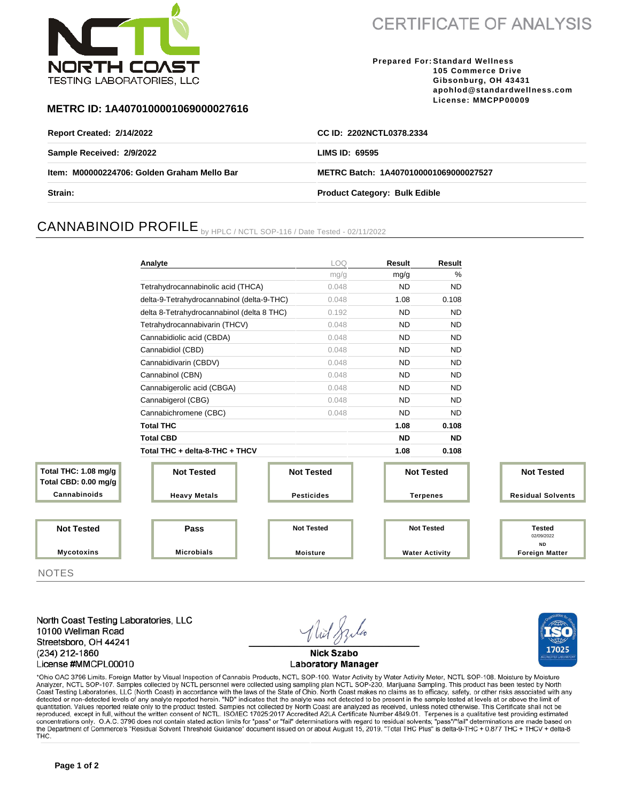

**CERTIFICATE OF ANALYSIS** 

**Prepared For: Standard Wellness 105 Commerce Drive Gibsonburg, OH 43431 apohlod@standardwellness.com License: MMCPP00009**

### **METRC ID: 1A4070100001069000027616**

| <b>Report Created: 2/14/2022</b>            | CC ID: 2202NCTL0378.2334              |
|---------------------------------------------|---------------------------------------|
| Sample Received: 2/9/2022                   | LIMS ID: $69595$                      |
| Item: M00000224706: Golden Graham Mello Bar | METRC Batch: 1A4070100001069000027527 |
| <b>Strain:</b>                              | <b>Product Category: Bulk Edible</b>  |

# CANNABINOID PROFILE by HPLC / NCTL SOP-116 / Date Tested - 02/11/2022

|                                              | Analyte                                    | LOQ               | Result                | Result            |                                    |  |
|----------------------------------------------|--------------------------------------------|-------------------|-----------------------|-------------------|------------------------------------|--|
|                                              |                                            | mg/g              | mg/g                  | $\%$              |                                    |  |
|                                              | Tetrahydrocannabinolic acid (THCA)         | 0.048             | <b>ND</b>             | <b>ND</b>         |                                    |  |
|                                              | delta-9-Tetrahydrocannabinol (delta-9-THC) | 0.048             | 1.08                  | 0.108             |                                    |  |
|                                              | delta 8-Tetrahydrocannabinol (delta 8 THC) | 0.192             | <b>ND</b>             | <b>ND</b>         |                                    |  |
|                                              | Tetrahydrocannabivarin (THCV)              | 0.048             | <b>ND</b>             | <b>ND</b>         |                                    |  |
|                                              | Cannabidiolic acid (CBDA)                  | 0.048             | <b>ND</b>             | <b>ND</b>         |                                    |  |
|                                              | Cannabidiol (CBD)                          | 0.048             | <b>ND</b>             | <b>ND</b>         |                                    |  |
|                                              | Cannabidivarin (CBDV)                      | 0.048             | <b>ND</b>             | <b>ND</b>         |                                    |  |
|                                              | Cannabinol (CBN)                           | 0.048             | <b>ND</b>             | <b>ND</b>         |                                    |  |
|                                              | Cannabigerolic acid (CBGA)                 | 0.048             | <b>ND</b>             | <b>ND</b>         |                                    |  |
|                                              | Cannabigerol (CBG)                         | 0.048             | <b>ND</b>             | <b>ND</b>         |                                    |  |
|                                              | Cannabichromene (CBC)                      | 0.048             | <b>ND</b>             | <b>ND</b>         |                                    |  |
|                                              | <b>Total THC</b>                           |                   | 1.08                  | 0.108             |                                    |  |
|                                              | <b>Total CBD</b>                           |                   | <b>ND</b>             | <b>ND</b>         |                                    |  |
|                                              | Total THC + delta-8-THC + THCV             |                   | 1.08                  | 0.108             |                                    |  |
| Total THC: 1.08 mg/g<br>Total CBD: 0.00 mg/g | <b>Not Tested</b>                          | <b>Not Tested</b> |                       | <b>Not Tested</b> | <b>Not Tested</b>                  |  |
| Cannabinoids                                 | <b>Heavy Metals</b>                        | <b>Pesticides</b> | <b>Terpenes</b>       |                   | <b>Residual Solvents</b>           |  |
|                                              |                                            |                   |                       |                   |                                    |  |
| <b>Not Tested</b>                            | Pass                                       | <b>Not Tested</b> | <b>Not Tested</b>     |                   | <b>Tested</b><br>02/09/2022        |  |
| <b>Mycotoxins</b>                            | <b>Microbials</b>                          | <b>Moisture</b>   | <b>Water Activity</b> |                   | <b>ND</b><br><b>Foreign Matter</b> |  |

**NOTES** 

North Coast Testing Laboratories, LLC 10100 Wellman Road Streetsboro, OH 44241 (234) 212-1860 License #MMCPL00010

**Nick Szabo Laboratory Manager** 



\*Ohio OAC 3796 Limits. Foreign Matter by Visual Inspection of Cannabis Products, NCTL SOP-100. Water Activity by Water Activity Meter, NCTL SOP-108. Moisture by Moisture Analyzer, NCTL SOP-107. Samples collected by NCTL personnel were collected using sampling plan NCTL SOP-230, Marijuana Sampling. This product has been tested by North Coast Testing Laboratories, LLC (North Coast) in accordance with the laws of the State of Ohio. North Coast makes no claims as to efficacy, safety, or other risks associated with any detected or non-detected levels of any quantitation. Values reported relate only to the product tested. Samples not collected by North Coast are analyzed as received, unless noted otherwise. This Certificate shall not be reproduced, except in full, without the written consent of NCTL. ISO/IEC 17025:2017 Accredited A2LA Certificate Number 4849.01. Terpenes is a qualitative test providing estimated concentrations only. O.A.C. 3796 does not contain stated action limits for "pass" or "fail" determinations with regard to residual solvents; "pass"/"fail" determinations are made based on the Department of Commerce's "Resi THC.